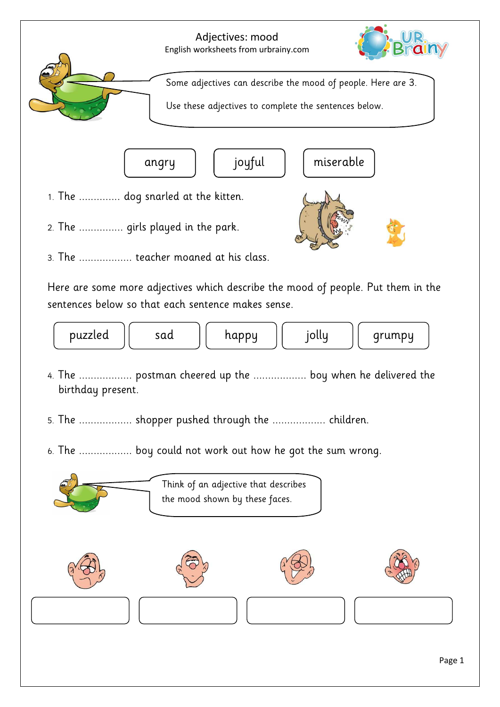